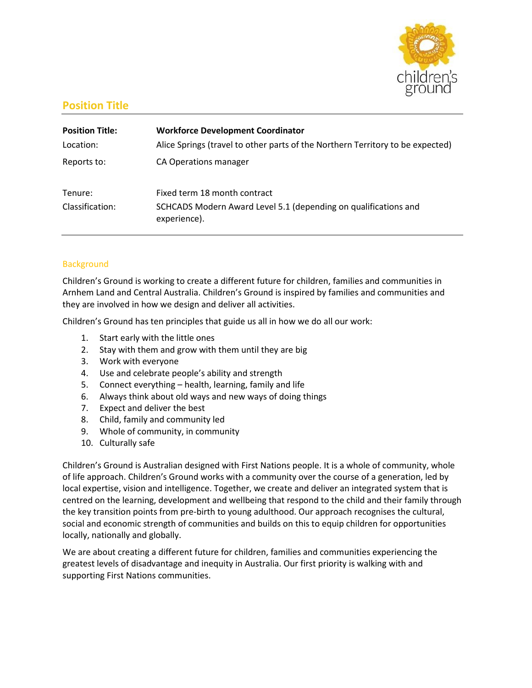

# **Position Title**

| <b>Position Title:</b> | <b>Workforce Development Coordinator</b>                                        |
|------------------------|---------------------------------------------------------------------------------|
| Location:              | Alice Springs (travel to other parts of the Northern Territory to be expected)  |
| Reports to:            | CA Operations manager                                                           |
| Tenure:                | Fixed term 18 month contract                                                    |
| Classification:        | SCHCADS Modern Award Level 5.1 (depending on qualifications and<br>experience). |

# **Background**

Children's Ground is working to create a different future for children, families and communities in Arnhem Land and Central Australia. Children's Ground is inspired by families and communities and they are involved in how we design and deliver all activities.

Children's Ground has ten principles that guide us all in how we do all our work:

- 1. Start early with the little ones
- 2. Stay with them and grow with them until they are big
- 3. Work with everyone
- 4. Use and celebrate people's ability and strength
- 5. Connect everything health, learning, family and life
- 6. Always think about old ways and new ways of doing things
- 7. Expect and deliver the best
- 8. Child, family and community led
- 9. Whole of community, in community
- 10. Culturally safe

Children's Ground is Australian designed with First Nations people. It is a whole of community, whole of life approach. Children's Ground works with a community over the course of a generation, led by local expertise, vision and intelligence. Together, we create and deliver an integrated system that is centred on the learning, development and wellbeing that respond to the child and their family through the key transition points from pre-birth to young adulthood. Our approach recognises the cultural, social and economic strength of communities and builds on this to equip children for opportunities locally, nationally and globally.

We are about creating a different future for children, families and communities experiencing the greatest levels of disadvantage and inequity in Australia. Our first priority is walking with and supporting First Nations communities.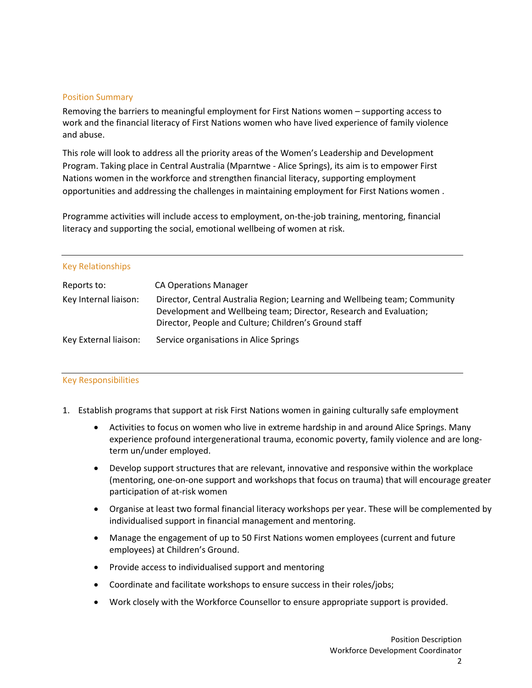#### Position Summary

Removing the barriers to meaningful employment for First Nations women – supporting access to work and the financial literacy of First Nations women who have lived experience of family violence and abuse.

This role will look to address all the priority areas of the Women's Leadership and Development Program. Taking place in Central Australia (Mparntwe - Alice Springs), its aim is to empower First Nations women in the workforce and strengthen financial literacy, supporting employment opportunities and addressing the challenges in maintaining employment for First Nations women .

Programme activities will include access to employment, on-the-job training, mentoring, financial literacy and supporting the social, emotional wellbeing of women at risk.

#### Key Relationships

| Reports to:           | <b>CA Operations Manager</b>                                                                                                                                                                              |
|-----------------------|-----------------------------------------------------------------------------------------------------------------------------------------------------------------------------------------------------------|
| Key Internal liaison: | Director, Central Australia Region; Learning and Wellbeing team; Community<br>Development and Wellbeing team; Director, Research and Evaluation;<br>Director, People and Culture; Children's Ground staff |
| Key External liaison: | Service organisations in Alice Springs                                                                                                                                                                    |

### Key Responsibilities

- 1. Establish programs that support at risk First Nations women in gaining culturally safe employment
	- Activities to focus on women who live in extreme hardship in and around Alice Springs. Many experience profound intergenerational trauma, economic poverty, family violence and are longterm un/under employed.
	- Develop support structures that are relevant, innovative and responsive within the workplace (mentoring, one-on-one support and workshops that focus on trauma) that will encourage greater participation of at-risk women
	- Organise at least two formal financial literacy workshops per year. These will be complemented by individualised support in financial management and mentoring.
	- Manage the engagement of up to 50 First Nations women employees (current and future employees) at Children's Ground.
	- Provide access to individualised support and mentoring
	- Coordinate and facilitate workshops to ensure success in their roles/jobs;
	- Work closely with the Workforce Counsellor to ensure appropriate support is provided.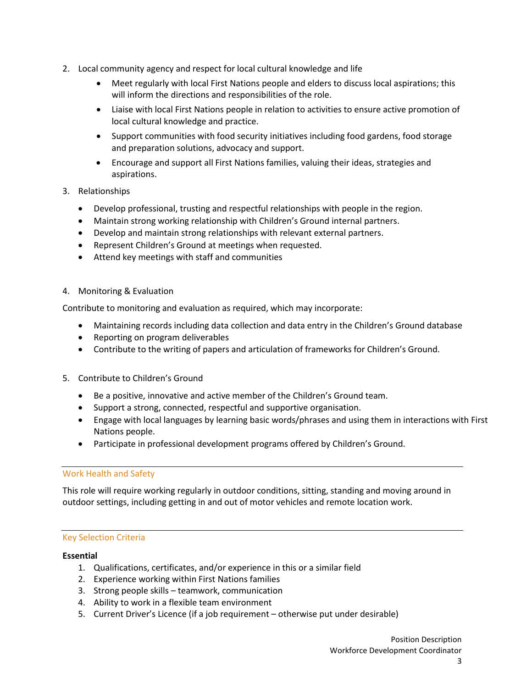- 2. Local community agency and respect for local cultural knowledge and life
	- Meet regularly with local First Nations people and elders to discuss local aspirations; this will inform the directions and responsibilities of the role.
	- Liaise with local First Nations people in relation to activities to ensure active promotion of local cultural knowledge and practice.
	- Support communities with food security initiatives including food gardens, food storage and preparation solutions, advocacy and support.
	- Encourage and support all First Nations families, valuing their ideas, strategies and aspirations.
- 3. Relationships
	- Develop professional, trusting and respectful relationships with people in the region.
	- Maintain strong working relationship with Children's Ground internal partners.
	- Develop and maintain strong relationships with relevant external partners.
	- Represent Children's Ground at meetings when requested.
	- Attend key meetings with staff and communities
- 4. Monitoring & Evaluation

Contribute to monitoring and evaluation as required, which may incorporate:

- Maintaining records including data collection and data entry in the Children's Ground database
- Reporting on program deliverables
- Contribute to the writing of papers and articulation of frameworks for Children's Ground.
- 5. Contribute to Children's Ground
	- Be a positive, innovative and active member of the Children's Ground team.
	- Support a strong, connected, respectful and supportive organisation.
	- Engage with local languages by learning basic words/phrases and using them in interactions with First Nations people.
	- Participate in professional development programs offered by Children's Ground.

### Work Health and Safety

This role will require working regularly in outdoor conditions, sitting, standing and moving around in outdoor settings, including getting in and out of motor vehicles and remote location work.

### Key Selection Criteria

#### **Essential**

- 1. Qualifications, certificates, and/or experience in this or a similar field
- 2. Experience working within First Nations families
- 3. Strong people skills teamwork, communication
- 4. Ability to work in a flexible team environment
- 5. Current Driver's Licence (if a job requirement otherwise put under desirable)